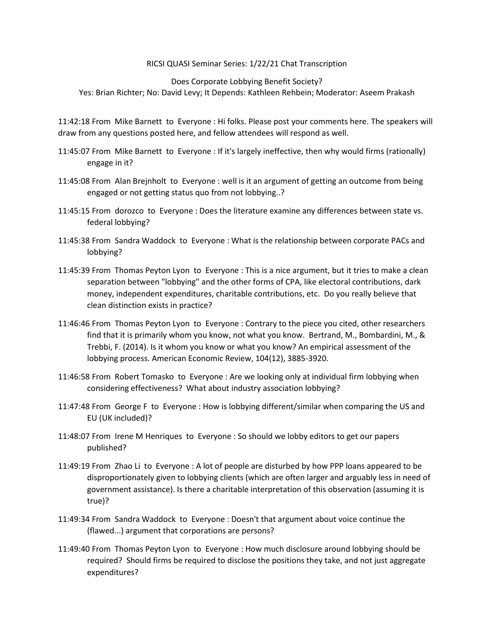## RICSI QUASI Seminar Series: 1/22/21 Chat Transcription

Does Corporate Lobbying Benefit Society?

Yes: Brian Richter; No: David Levy; It Depends: Kathleen Rehbein; Moderator: Aseem Prakash

11:42:18 From Mike Barnett to Everyone : Hi folks. Please post your comments here. The speakers will draw from any questions posted here, and fellow attendees will respond as well.

- 11:45:07 From Mike Barnett to Everyone : If it's largely ineffective, then why would firms (rationally) engage in it?
- 11:45:08 From Alan Brejnholt to Everyone : well is it an argument of getting an outcome from being engaged or not getting status quo from not lobbying..?
- 11:45:15 From dorozco to Everyone : Does the literature examine any differences between state vs. federal lobbying?
- 11:45:38 From Sandra Waddock to Everyone : What is the relationship between corporate PACs and lobbying?
- 11:45:39 From Thomas Peyton Lyon to Everyone : This is a nice argument, but it tries to make a clean separation between "lobbying" and the other forms of CPA, like electoral contributions, dark money, independent expenditures, charitable contributions, etc. Do you really believe that clean distinction exists in practice?
- 11:46:46 From Thomas Peyton Lyon to Everyone : Contrary to the piece you cited, other researchers find that it is primarily whom you know, not what you know. Bertrand, M., Bombardini, M., & Trebbi, F. (2014). Is it whom you know or what you know? An empirical assessment of the lobbying process. American Economic Review, 104(12), 3885-3920.
- 11:46:58 From Robert Tomasko to Everyone : Are we looking only at individual firm lobbying when considering effectiveness? What about industry association lobbying?
- 11:47:48 From George F to Everyone : How is lobbying different/similar when comparing the US and EU (UK included)?
- 11:48:07 From Irene M Henriques to Everyone : So should we lobby editors to get our papers published?
- 11:49:19 From Zhao Li to Everyone : A lot of people are disturbed by how PPP loans appeared to be disproportionately given to lobbying clients (which are often larger and arguably less in need of government assistance). Is there a charitable interpretation of this observation (assuming it is true)?
- 11:49:34 From Sandra Waddock to Everyone : Doesn't that argument about voice continue the (flawed...) argument that corporations are persons?
- 11:49:40 From Thomas Peyton Lyon to Everyone : How much disclosure around lobbying should be required? Should firms be required to disclose the positions they take, and not just aggregate expenditures?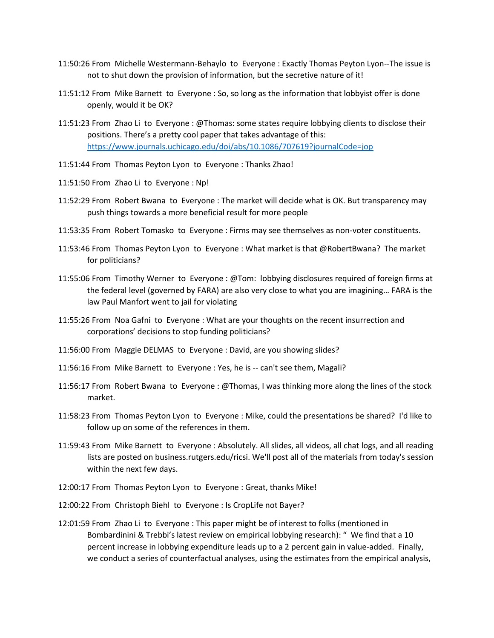- 11:50:26 From Michelle Westermann-Behaylo to Everyone : Exactly Thomas Peyton Lyon--The issue is not to shut down the provision of information, but the secretive nature of it!
- 11:51:12 From Mike Barnett to Everyone : So, so long as the information that lobbyist offer is done openly, would it be OK?
- 11:51:23 From Zhao Li to Everyone : @Thomas: some states require lobbying clients to disclose their positions. There's a pretty cool paper that takes advantage of this: <https://www.journals.uchicago.edu/doi/abs/10.1086/707619?journalCode=jop>
- 11:51:44 From Thomas Peyton Lyon to Everyone : Thanks Zhao!
- 11:51:50 From Zhao Li to Everyone : Np!
- 11:52:29 From Robert Bwana to Everyone : The market will decide what is OK. But transparency may push things towards a more beneficial result for more people
- 11:53:35 From Robert Tomasko to Everyone : Firms may see themselves as non-voter constituents.
- 11:53:46 From Thomas Peyton Lyon to Everyone : What market is that @RobertBwana? The market for politicians?
- 11:55:06 From Timothy Werner to Everyone : @Tom: lobbying disclosures required of foreign firms at the federal level (governed by FARA) are also very close to what you are imagining… FARA is the law Paul Manfort went to jail for violating
- 11:55:26 From Noa Gafni to Everyone : What are your thoughts on the recent insurrection and corporations' decisions to stop funding politicians?
- 11:56:00 From Maggie DELMAS to Everyone : David, are you showing slides?
- 11:56:16 From Mike Barnett to Everyone : Yes, he is -- can't see them, Magali?
- 11:56:17 From Robert Bwana to Everyone : @Thomas, I was thinking more along the lines of the stock market.
- 11:58:23 From Thomas Peyton Lyon to Everyone : Mike, could the presentations be shared? I'd like to follow up on some of the references in them.
- 11:59:43 From Mike Barnett to Everyone : Absolutely. All slides, all videos, all chat logs, and all reading lists are posted on business.rutgers.edu/ricsi. We'll post all of the materials from today's session within the next few days.
- 12:00:17 From Thomas Peyton Lyon to Everyone : Great, thanks Mike!
- 12:00:22 From Christoph Biehl to Everyone : Is CropLife not Bayer?
- 12:01:59 From Zhao Li to Everyone : This paper might be of interest to folks (mentioned in Bombardinini & Trebbi's latest review on empirical lobbying research): " We find that a 10 percent increase in lobbying expenditure leads up to a 2 percent gain in value-added. Finally, we conduct a series of counterfactual analyses, using the estimates from the empirical analysis,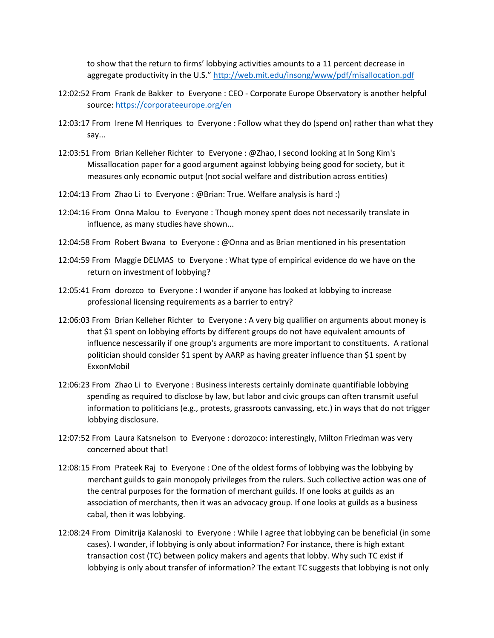to show that the return to firms' lobbying activities amounts to a 11 percent decrease in aggregate productivity in the U.S." <http://web.mit.edu/insong/www/pdf/misallocation.pdf>

- 12:02:52 From Frank de Bakker to Everyone : CEO Corporate Europe Observatory is another helpful source:<https://corporateeurope.org/en>
- 12:03:17 From Irene M Henriques to Everyone : Follow what they do (spend on) rather than what they say...
- 12:03:51 From Brian Kelleher Richter to Everyone : @Zhao, I second looking at In Song Kim's Missallocation paper for a good argument against lobbying being good for society, but it measures only economic output (not social welfare and distribution across entities)
- 12:04:13 From Zhao Li to Everyone : @Brian: True. Welfare analysis is hard :)
- 12:04:16 From Onna Malou to Everyone : Though money spent does not necessarily translate in influence, as many studies have shown...
- 12:04:58 From Robert Bwana to Everyone : @Onna and as Brian mentioned in his presentation
- 12:04:59 From Maggie DELMAS to Everyone : What type of empirical evidence do we have on the return on investment of lobbying?
- 12:05:41 From dorozco to Everyone : I wonder if anyone has looked at lobbying to increase professional licensing requirements as a barrier to entry?
- 12:06:03 From Brian Kelleher Richter to Everyone : A very big qualifier on arguments about money is that \$1 spent on lobbying efforts by different groups do not have equivalent amounts of influence nescessarily if one group's arguments are more important to constituents. A rational politician should consider \$1 spent by AARP as having greater influence than \$1 spent by ExxonMobil
- 12:06:23 From Zhao Li to Everyone : Business interests certainly dominate quantifiable lobbying spending as required to disclose by law, but labor and civic groups can often transmit useful information to politicians (e.g., protests, grassroots canvassing, etc.) in ways that do not trigger lobbying disclosure.
- 12:07:52 From Laura Katsnelson to Everyone : dorozoco: interestingly, Milton Friedman was very concerned about that!
- 12:08:15 From Prateek Raj to Everyone : One of the oldest forms of lobbying was the lobbying by merchant guilds to gain monopoly privileges from the rulers. Such collective action was one of the central purposes for the formation of merchant guilds. If one looks at guilds as an association of merchants, then it was an advocacy group. If one looks at guilds as a business cabal, then it was lobbying.
- 12:08:24 From Dimitrija Kalanoski to Everyone : While I agree that lobbying can be beneficial (in some cases). I wonder, if lobbying is only about information? For instance, there is high extant transaction cost (TC) between policy makers and agents that lobby. Why such TC exist if lobbying is only about transfer of information? The extant TC suggests that lobbying is not only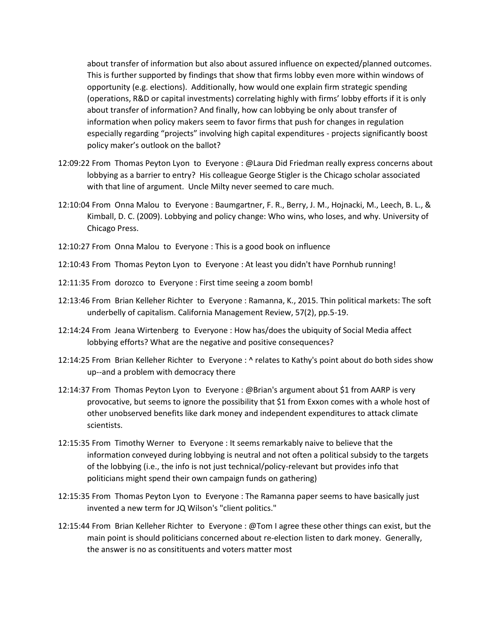about transfer of information but also about assured influence on expected/planned outcomes. This is further supported by findings that show that firms lobby even more within windows of opportunity (e.g. elections). Additionally, how would one explain firm strategic spending (operations, R&D or capital investments) correlating highly with firms' lobby efforts if it is only about transfer of information? And finally, how can lobbying be only about transfer of information when policy makers seem to favor firms that push for changes in regulation especially regarding "projects" involving high capital expenditures - projects significantly boost policy maker's outlook on the ballot?

- 12:09:22 From Thomas Peyton Lyon to Everyone : @Laura Did Friedman really express concerns about lobbying as a barrier to entry? His colleague George Stigler is the Chicago scholar associated with that line of argument. Uncle Milty never seemed to care much.
- 12:10:04 From Onna Malou to Everyone : Baumgartner, F. R., Berry, J. M., Hojnacki, M., Leech, B. L., & Kimball, D. C. (2009). Lobbying and policy change: Who wins, who loses, and why. University of Chicago Press.
- 12:10:27 From Onna Malou to Everyone : This is a good book on influence
- 12:10:43 From Thomas Peyton Lyon to Everyone : At least you didn't have Pornhub running!
- 12:11:35 From dorozco to Everyone : First time seeing a zoom bomb!
- 12:13:46 From Brian Kelleher Richter to Everyone : Ramanna, K., 2015. Thin political markets: The soft underbelly of capitalism. California Management Review, 57(2), pp.5-19.
- 12:14:24 From Jeana Wirtenberg to Everyone : How has/does the ubiquity of Social Media affect lobbying efforts? What are the negative and positive consequences?
- 12:14:25 From Brian Kelleher Richter to Everyone : ^ relates to Kathy's point about do both sides show up--and a problem with democracy there
- 12:14:37 From Thomas Peyton Lyon to Everyone : @Brian's argument about \$1 from AARP is very provocative, but seems to ignore the possibility that \$1 from Exxon comes with a whole host of other unobserved benefits like dark money and independent expenditures to attack climate scientists.
- 12:15:35 From Timothy Werner to Everyone : It seems remarkably naive to believe that the information conveyed during lobbying is neutral and not often a political subsidy to the targets of the lobbying (i.e., the info is not just technical/policy-relevant but provides info that politicians might spend their own campaign funds on gathering)
- 12:15:35 From Thomas Peyton Lyon to Everyone : The Ramanna paper seems to have basically just invented a new term for JQ Wilson's "client politics."
- 12:15:44 From Brian Kelleher Richter to Everyone : @Tom I agree these other things can exist, but the main point is should politicians concerned about re-election listen to dark money. Generally, the answer is no as consitituents and voters matter most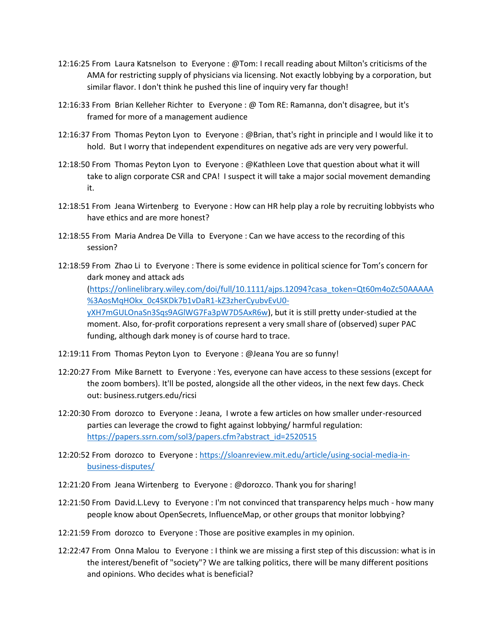- 12:16:25 From Laura Katsnelson to Everyone : @Tom: I recall reading about Milton's criticisms of the AMA for restricting supply of physicians via licensing. Not exactly lobbying by a corporation, but similar flavor. I don't think he pushed this line of inquiry very far though!
- 12:16:33 From Brian Kelleher Richter to Everyone : @ Tom RE: Ramanna, don't disagree, but it's framed for more of a management audience
- 12:16:37 From Thomas Peyton Lyon to Everyone : @Brian, that's right in principle and I would like it to hold. But I worry that independent expenditures on negative ads are very very powerful.
- 12:18:50 From Thomas Peyton Lyon to Everyone : @Kathleen Love that question about what it will take to align corporate CSR and CPA! I suspect it will take a major social movement demanding it.
- 12:18:51 From Jeana Wirtenberg to Everyone : How can HR help play a role by recruiting lobbyists who have ethics and are more honest?
- 12:18:55 From Maria Andrea De Villa to Everyone : Can we have access to the recording of this session?
- 12:18:59 From Zhao Li to Everyone : There is some evidence in political science for Tom's concern for dark money and attack ads

[\(https://onlinelibrary.wiley.com/doi/full/10.1111/ajps.12094?casa\\_token=Qt60m4oZc50AAAAA](https://onlinelibrary.wiley.com/doi/full/10.1111/ajps.12094?casa_token=Qt60m4oZc50AAAAA%3AosMqHOkx_0c4SKDk7b1vDaR1-kZ3zherCyubvEvU0-yXH7mGULOnaSn3Sqs9AGlWG7Fa3pW7D5AxR6w) [%3AosMqHOkx\\_0c4SKDk7b1vDaR1-kZ3zherCyubvEvU0-](https://onlinelibrary.wiley.com/doi/full/10.1111/ajps.12094?casa_token=Qt60m4oZc50AAAAA%3AosMqHOkx_0c4SKDk7b1vDaR1-kZ3zherCyubvEvU0-yXH7mGULOnaSn3Sqs9AGlWG7Fa3pW7D5AxR6w)

[yXH7mGULOnaSn3Sqs9AGlWG7Fa3pW7D5AxR6w\)](https://onlinelibrary.wiley.com/doi/full/10.1111/ajps.12094?casa_token=Qt60m4oZc50AAAAA%3AosMqHOkx_0c4SKDk7b1vDaR1-kZ3zherCyubvEvU0-yXH7mGULOnaSn3Sqs9AGlWG7Fa3pW7D5AxR6w), but it is still pretty under-studied at the moment. Also, for-profit corporations represent a very small share of (observed) super PAC funding, although dark money is of course hard to trace.

- 12:19:11 From Thomas Peyton Lyon to Everyone : @Jeana You are so funny!
- 12:20:27 From Mike Barnett to Everyone : Yes, everyone can have access to these sessions (except for the zoom bombers). It'll be posted, alongside all the other videos, in the next few days. Check out: business.rutgers.edu/ricsi
- 12:20:30 From dorozco to Everyone : Jeana, I wrote a few articles on how smaller under-resourced parties can leverage the crowd to fight against lobbying/ harmful regulation: [https://papers.ssrn.com/sol3/papers.cfm?abstract\\_id=2520515](https://papers.ssrn.com/sol3/papers.cfm?abstract_id=2520515)
- 12:20:52 From dorozco to Everyone : [https://sloanreview.mit.edu/article/using-social-media-in](https://sloanreview.mit.edu/article/using-social-media-in-business-disputes/)[business-disputes/](https://sloanreview.mit.edu/article/using-social-media-in-business-disputes/)
- 12:21:20 From Jeana Wirtenberg to Everyone : @dorozco. Thank you for sharing!
- 12:21:50 From David.L.Levy to Everyone : I'm not convinced that transparency helps much how many people know about OpenSecrets, InfluenceMap, or other groups that monitor lobbying?
- 12:21:59 From dorozco to Everyone : Those are positive examples in my opinion.
- 12:22:47 From Onna Malou to Everyone : I think we are missing a first step of this discussion: what is in the interest/benefit of "society"? We are talking politics, there will be many different positions and opinions. Who decides what is beneficial?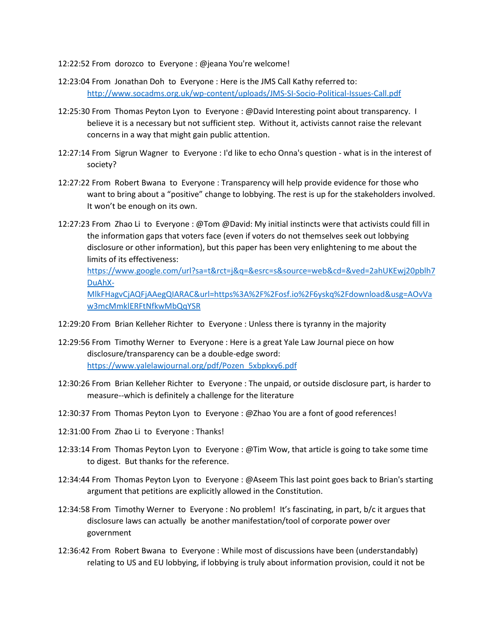- 12:22:52 From dorozco to Everyone : @jeana You're welcome!
- 12:23:04 From Jonathan Doh to Everyone : Here is the JMS Call Kathy referred to: <http://www.socadms.org.uk/wp-content/uploads/JMS-SI-Socio-Political-Issues-Call.pdf>
- 12:25:30 From Thomas Peyton Lyon to Everyone : @David Interesting point about transparency. I believe it is a necessary but not sufficient step. Without it, activists cannot raise the relevant concerns in a way that might gain public attention.
- 12:27:14 From Sigrun Wagner to Everyone : I'd like to echo Onna's question what is in the interest of society?
- 12:27:22 From Robert Bwana to Everyone : Transparency will help provide evidence for those who want to bring about a "positive" change to lobbying. The rest is up for the stakeholders involved. It won't be enough on its own.
- 12:27:23 From Zhao Li to Everyone : @Tom @David: My initial instincts were that activists could fill in the information gaps that voters face (even if voters do not themselves seek out lobbying disclosure or other information), but this paper has been very enlightening to me about the limits of its effectiveness:

[https://www.google.com/url?sa=t&rct=j&q=&esrc=s&source=web&cd=&ved=2ahUKEwj20pblh7](https://www.google.com/url?sa=t&rct=j&q=&esrc=s&source=web&cd=&ved=2ahUKEwj20pblh7DuAhX-MlkFHagvCjAQFjAAegQIARAC&url=https%3A%2F%2Fosf.io%2F6yskq%2Fdownload&usg=AOvVaw3mcMmklERFtNfkwMbQqYSR) [DuAhX-](https://www.google.com/url?sa=t&rct=j&q=&esrc=s&source=web&cd=&ved=2ahUKEwj20pblh7DuAhX-MlkFHagvCjAQFjAAegQIARAC&url=https%3A%2F%2Fosf.io%2F6yskq%2Fdownload&usg=AOvVaw3mcMmklERFtNfkwMbQqYSR)

[MlkFHagvCjAQFjAAegQIARAC&url=https%3A%2F%2Fosf.io%2F6yskq%2Fdownload&usg=AOvVa](https://www.google.com/url?sa=t&rct=j&q=&esrc=s&source=web&cd=&ved=2ahUKEwj20pblh7DuAhX-MlkFHagvCjAQFjAAegQIARAC&url=https%3A%2F%2Fosf.io%2F6yskq%2Fdownload&usg=AOvVaw3mcMmklERFtNfkwMbQqYSR) [w3mcMmklERFtNfkwMbQqYSR](https://www.google.com/url?sa=t&rct=j&q=&esrc=s&source=web&cd=&ved=2ahUKEwj20pblh7DuAhX-MlkFHagvCjAQFjAAegQIARAC&url=https%3A%2F%2Fosf.io%2F6yskq%2Fdownload&usg=AOvVaw3mcMmklERFtNfkwMbQqYSR)

- 12:29:20 From Brian Kelleher Richter to Everyone : Unless there is tyranny in the majority
- 12:29:56 From Timothy Werner to Everyone : Here is a great Yale Law Journal piece on how disclosure/transparency can be a double-edge sword: [https://www.yalelawjournal.org/pdf/Pozen\\_5xbpkxy6.pdf](https://www.yalelawjournal.org/pdf/Pozen_5xbpkxy6.pdf)
- 12:30:26 From Brian Kelleher Richter to Everyone : The unpaid, or outside disclosure part, is harder to measure--which is definitely a challenge for the literature
- 12:30:37 From Thomas Peyton Lyon to Everyone : @Zhao You are a font of good references!
- 12:31:00 From Zhao Li to Everyone : Thanks!
- 12:33:14 From Thomas Peyton Lyon to Everyone : @Tim Wow, that article is going to take some time to digest. But thanks for the reference.
- 12:34:44 From Thomas Peyton Lyon to Everyone : @Aseem This last point goes back to Brian's starting argument that petitions are explicitly allowed in the Constitution.
- 12:34:58 From Timothy Werner to Everyone : No problem! It's fascinating, in part, b/c it argues that disclosure laws can actually be another manifestation/tool of corporate power over government
- 12:36:42 From Robert Bwana to Everyone : While most of discussions have been (understandably) relating to US and EU lobbying, if lobbying is truly about information provision, could it not be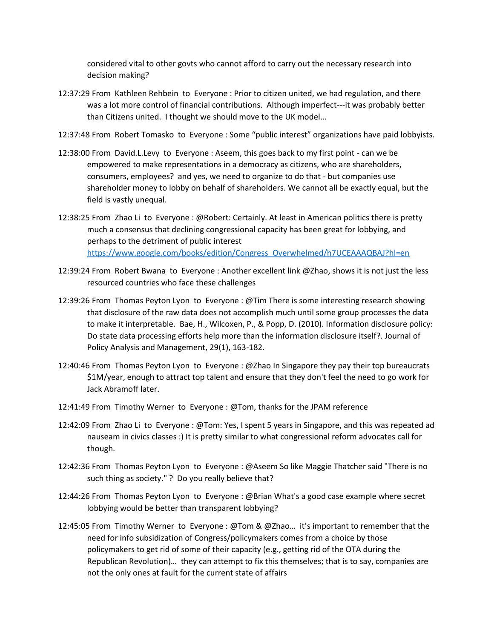considered vital to other govts who cannot afford to carry out the necessary research into decision making?

- 12:37:29 From Kathleen Rehbein to Everyone : Prior to citizen united, we had regulation, and there was a lot more control of financial contributions. Although imperfect---it was probably better than Citizens united. I thought we should move to the UK model...
- 12:37:48 From Robert Tomasko to Everyone : Some "public interest" organizations have paid lobbyists.
- 12:38:00 From David.L.Levy to Everyone : Aseem, this goes back to my first point can we be empowered to make representations in a democracy as citizens, who are shareholders, consumers, employees? and yes, we need to organize to do that - but companies use shareholder money to lobby on behalf of shareholders. We cannot all be exactly equal, but the field is vastly unequal.
- 12:38:25 From Zhao Li to Everyone : @Robert: Certainly. At least in American politics there is pretty much a consensus that declining congressional capacity has been great for lobbying, and perhaps to the detriment of public interest [https://www.google.com/books/edition/Congress\\_Overwhelmed/h7UCEAAAQBAJ?hl=en](https://www.google.com/books/edition/Congress_Overwhelmed/h7UCEAAAQBAJ?hl=en)
- 12:39:24 From Robert Bwana to Everyone : Another excellent link @Zhao, shows it is not just the less resourced countries who face these challenges
- 12:39:26 From Thomas Peyton Lyon to Everyone : @Tim There is some interesting research showing that disclosure of the raw data does not accomplish much until some group processes the data to make it interpretable. Bae, H., Wilcoxen, P., & Popp, D. (2010). Information disclosure policy: Do state data processing efforts help more than the information disclosure itself?. Journal of Policy Analysis and Management, 29(1), 163-182.
- 12:40:46 From Thomas Peyton Lyon to Everyone : @Zhao In Singapore they pay their top bureaucrats \$1M/year, enough to attract top talent and ensure that they don't feel the need to go work for Jack Abramoff later.
- 12:41:49 From Timothy Werner to Everyone : @Tom, thanks for the JPAM reference
- 12:42:09 From Zhao Li to Everyone : @Tom: Yes, I spent 5 years in Singapore, and this was repeated ad nauseam in civics classes :) It is pretty similar to what congressional reform advocates call for though.
- 12:42:36 From Thomas Peyton Lyon to Everyone : @Aseem So like Maggie Thatcher said "There is no such thing as society." ? Do you really believe that?
- 12:44:26 From Thomas Peyton Lyon to Everyone : @Brian What's a good case example where secret lobbying would be better than transparent lobbying?
- 12:45:05 From Timothy Werner to Everyone : @Tom & @Zhao… it's important to remember that the need for info subsidization of Congress/policymakers comes from a choice by those policymakers to get rid of some of their capacity (e.g., getting rid of the OTA during the Republican Revolution)… they can attempt to fix this themselves; that is to say, companies are not the only ones at fault for the current state of affairs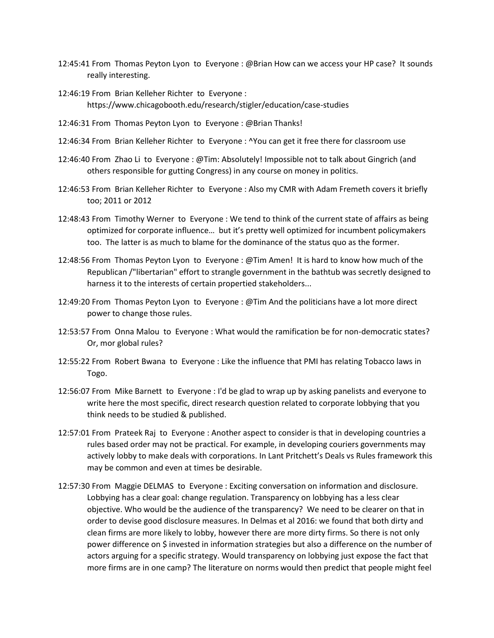- 12:45:41 From Thomas Peyton Lyon to Everyone : @Brian How can we access your HP case? It sounds really interesting.
- 12:46:19 From Brian Kelleher Richter to Everyone : https://www.chicagobooth.edu/research/stigler/education/case-studies
- 12:46:31 From Thomas Peyton Lyon to Everyone : @Brian Thanks!
- 12:46:34 From Brian Kelleher Richter to Everyone : ^You can get it free there for classroom use
- 12:46:40 From Zhao Li to Everyone : @Tim: Absolutely! Impossible not to talk about Gingrich (and others responsible for gutting Congress) in any course on money in politics.
- 12:46:53 From Brian Kelleher Richter to Everyone : Also my CMR with Adam Fremeth covers it briefly too; 2011 or 2012
- 12:48:43 From Timothy Werner to Everyone : We tend to think of the current state of affairs as being optimized for corporate influence… but it's pretty well optimized for incumbent policymakers too. The latter is as much to blame for the dominance of the status quo as the former.
- 12:48:56 From Thomas Peyton Lyon to Everyone : @Tim Amen! It is hard to know how much of the Republican /"libertarian" effort to strangle government in the bathtub was secretly designed to harness it to the interests of certain propertied stakeholders...
- 12:49:20 From Thomas Peyton Lyon to Everyone : @Tim And the politicians have a lot more direct power to change those rules.
- 12:53:57 From Onna Malou to Everyone : What would the ramification be for non-democratic states? Or, mor global rules?
- 12:55:22 From Robert Bwana to Everyone : Like the influence that PMI has relating Tobacco laws in Togo.
- 12:56:07 From Mike Barnett to Everyone : I'd be glad to wrap up by asking panelists and everyone to write here the most specific, direct research question related to corporate lobbying that you think needs to be studied & published.
- 12:57:01 From Prateek Raj to Everyone : Another aspect to consider is that in developing countries a rules based order may not be practical. For example, in developing couriers governments may actively lobby to make deals with corporations. In Lant Pritchett's Deals vs Rules framework this may be common and even at times be desirable.
- 12:57:30 From Maggie DELMAS to Everyone : Exciting conversation on information and disclosure. Lobbying has a clear goal: change regulation. Transparency on lobbying has a less clear objective. Who would be the audience of the transparency? We need to be clearer on that in order to devise good disclosure measures. In Delmas et al 2016: we found that both dirty and clean firms are more likely to lobby, however there are more dirty firms. So there is not only power difference on \$ invested in information strategies but also a difference on the number of actors arguing for a specific strategy. Would transparency on lobbying just expose the fact that more firms are in one camp? The literature on norms would then predict that people might feel